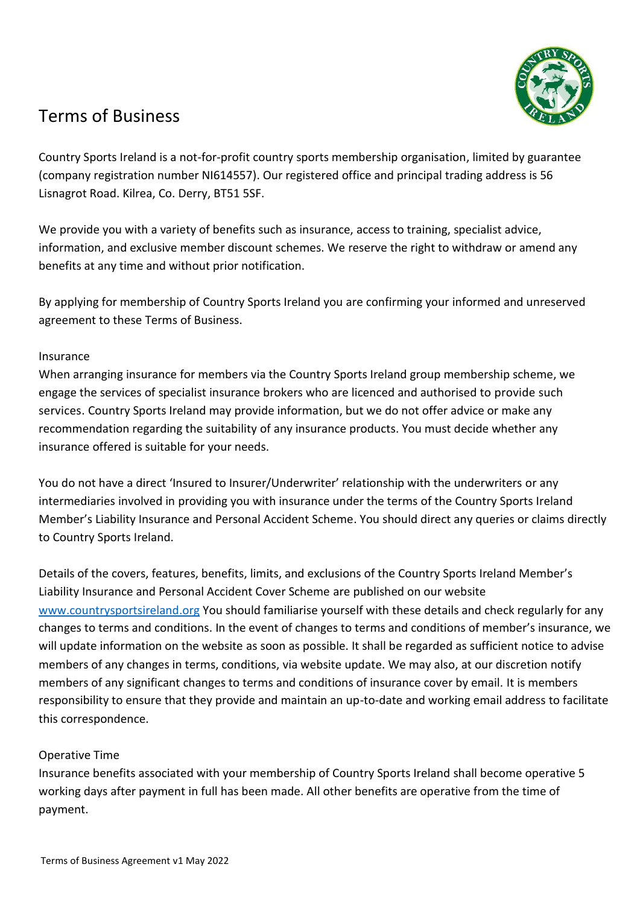

# Terms of Business

Country Sports Ireland is a not-for-profit country sports membership organisation, limited by guarantee (company registration number NI614557). Our registered office and principal trading address is 56 Lisnagrot Road. Kilrea, Co. Derry, BT51 5SF.

We provide you with a variety of benefits such as insurance, access to training, specialist advice, information, and exclusive member discount schemes. We reserve the right to withdraw or amend any benefits at any time and without prior notification.

By applying for membership of Country Sports Ireland you are confirming your informed and unreserved agreement to these Terms of Business.

# Insurance

When arranging insurance for members via the Country Sports Ireland group membership scheme, we engage the services of specialist insurance brokers who are licenced and authorised to provide such services. Country Sports Ireland may provide information, but we do not offer advice or make any recommendation regarding the suitability of any insurance products. You must decide whether any insurance offered is suitable for your needs.

You do not have a direct 'Insured to Insurer/Underwriter' relationship with the underwriters or any intermediaries involved in providing you with insurance under the terms of the Country Sports Ireland Member's Liability Insurance and Personal Accident Scheme. You should direct any queries or claims directly to Country Sports Ireland.

Details of the covers, features, benefits, limits, and exclusions of the Country Sports Ireland Member's Liability Insurance and Personal Accident Cover Scheme are published on our website [www.countrysportsireland.org](http://www.countrysportsireland.org/) You should familiarise yourself with these details and check regularly for any changes to terms and conditions. In the event of changes to terms and conditions of member's insurance, we will update information on the website as soon as possible. It shall be regarded as sufficient notice to advise members of any changes in terms, conditions, via website update. We may also, at our discretion notify members of any significant changes to terms and conditions of insurance cover by email. It is members responsibility to ensure that they provide and maintain an up-to-date and working email address to facilitate this correspondence.

# Operative Time

Insurance benefits associated with your membership of Country Sports Ireland shall become operative 5 working days after payment in full has been made. All other benefits are operative from the time of payment.